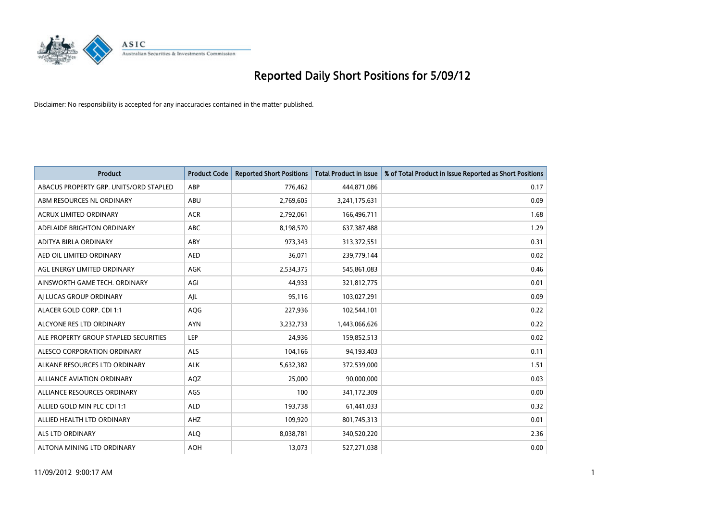

| <b>Product</b>                         | <b>Product Code</b> | <b>Reported Short Positions</b> | <b>Total Product in Issue</b> | % of Total Product in Issue Reported as Short Positions |
|----------------------------------------|---------------------|---------------------------------|-------------------------------|---------------------------------------------------------|
| ABACUS PROPERTY GRP. UNITS/ORD STAPLED | ABP                 | 776,462                         | 444,871,086                   | 0.17                                                    |
| ABM RESOURCES NL ORDINARY              | ABU                 | 2,769,605                       | 3,241,175,631                 | 0.09                                                    |
| <b>ACRUX LIMITED ORDINARY</b>          | <b>ACR</b>          | 2,792,061                       | 166,496,711                   | 1.68                                                    |
| ADELAIDE BRIGHTON ORDINARY             | <b>ABC</b>          | 8,198,570                       | 637, 387, 488                 | 1.29                                                    |
| <b>ADITYA BIRLA ORDINARY</b>           | ABY                 | 973,343                         | 313,372,551                   | 0.31                                                    |
| AED OIL LIMITED ORDINARY               | <b>AED</b>          | 36,071                          | 239,779,144                   | 0.02                                                    |
| AGL ENERGY LIMITED ORDINARY            | AGK                 | 2,534,375                       | 545,861,083                   | 0.46                                                    |
| AINSWORTH GAME TECH. ORDINARY          | AGI                 | 44,933                          | 321,812,775                   | 0.01                                                    |
| AJ LUCAS GROUP ORDINARY                | AJL                 | 95,116                          | 103,027,291                   | 0.09                                                    |
| ALACER GOLD CORP. CDI 1:1              | AQG                 | 227,936                         | 102,544,101                   | 0.22                                                    |
| ALCYONE RES LTD ORDINARY               | <b>AYN</b>          | 3,232,733                       | 1,443,066,626                 | 0.22                                                    |
| ALE PROPERTY GROUP STAPLED SECURITIES  | LEP                 | 24,936                          | 159,852,513                   | 0.02                                                    |
| <b>ALESCO CORPORATION ORDINARY</b>     | <b>ALS</b>          | 104,166                         | 94,193,403                    | 0.11                                                    |
| ALKANE RESOURCES LTD ORDINARY          | <b>ALK</b>          | 5,632,382                       | 372,539,000                   | 1.51                                                    |
| ALLIANCE AVIATION ORDINARY             | AQZ                 | 25,000                          | 90,000,000                    | 0.03                                                    |
| ALLIANCE RESOURCES ORDINARY            | AGS                 | 100                             | 341,172,309                   | 0.00                                                    |
| ALLIED GOLD MIN PLC CDI 1:1            | <b>ALD</b>          | 193,738                         | 61,441,033                    | 0.32                                                    |
| ALLIED HEALTH LTD ORDINARY             | AHZ                 | 109,920                         | 801,745,313                   | 0.01                                                    |
| <b>ALS LTD ORDINARY</b>                | <b>ALO</b>          | 8,038,781                       | 340,520,220                   | 2.36                                                    |
| ALTONA MINING LTD ORDINARY             | <b>AOH</b>          | 13,073                          | 527,271,038                   | 0.00                                                    |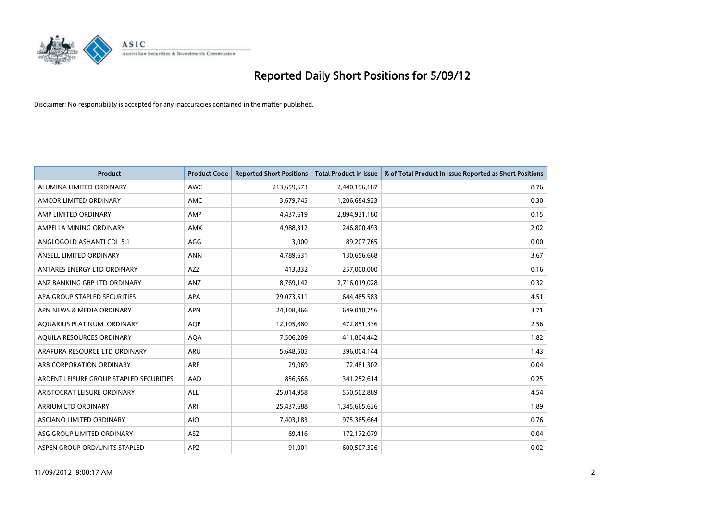

| <b>Product</b>                          | <b>Product Code</b> | <b>Reported Short Positions</b> | <b>Total Product in Issue</b> | % of Total Product in Issue Reported as Short Positions |
|-----------------------------------------|---------------------|---------------------------------|-------------------------------|---------------------------------------------------------|
| ALUMINA LIMITED ORDINARY                | <b>AWC</b>          | 213,659,673                     | 2,440,196,187                 | 8.76                                                    |
| AMCOR LIMITED ORDINARY                  | <b>AMC</b>          | 3,679,745                       | 1,206,684,923                 | 0.30                                                    |
| AMP LIMITED ORDINARY                    | AMP                 | 4,437,619                       | 2,894,931,180                 | 0.15                                                    |
| AMPELLA MINING ORDINARY                 | <b>AMX</b>          | 4,988,312                       | 246,800,493                   | 2.02                                                    |
| ANGLOGOLD ASHANTI CDI 5:1               | AGG                 | 3,000                           | 89,207,765                    | 0.00                                                    |
| ANSELL LIMITED ORDINARY                 | <b>ANN</b>          | 4,789,631                       | 130,656,668                   | 3.67                                                    |
| ANTARES ENERGY LTD ORDINARY             | <b>AZZ</b>          | 413,832                         | 257,000,000                   | 0.16                                                    |
| ANZ BANKING GRP LTD ORDINARY            | ANZ                 | 8,769,142                       | 2,716,019,028                 | 0.32                                                    |
| APA GROUP STAPLED SECURITIES            | <b>APA</b>          | 29,073,511                      | 644,485,583                   | 4.51                                                    |
| APN NEWS & MEDIA ORDINARY               | <b>APN</b>          | 24,108,366                      | 649,010,756                   | 3.71                                                    |
| AQUARIUS PLATINUM. ORDINARY             | <b>AOP</b>          | 12,105,880                      | 472,851,336                   | 2.56                                                    |
| AQUILA RESOURCES ORDINARY               | <b>AQA</b>          | 7,506,209                       | 411,804,442                   | 1.82                                                    |
| ARAFURA RESOURCE LTD ORDINARY           | <b>ARU</b>          | 5,648,505                       | 396,004,144                   | 1.43                                                    |
| ARB CORPORATION ORDINARY                | <b>ARP</b>          | 29.069                          | 72,481,302                    | 0.04                                                    |
| ARDENT LEISURE GROUP STAPLED SECURITIES | AAD                 | 856,666                         | 341,252,614                   | 0.25                                                    |
| ARISTOCRAT LEISURE ORDINARY             | <b>ALL</b>          | 25,014,958                      | 550,502,889                   | 4.54                                                    |
| ARRIUM LTD ORDINARY                     | ARI                 | 25,437,688                      | 1,345,665,626                 | 1.89                                                    |
| ASCIANO LIMITED ORDINARY                | <b>AIO</b>          | 7,403,183                       | 975,385,664                   | 0.76                                                    |
| ASG GROUP LIMITED ORDINARY              | <b>ASZ</b>          | 69,416                          | 172,172,079                   | 0.04                                                    |
| ASPEN GROUP ORD/UNITS STAPLED           | <b>APZ</b>          | 91,001                          | 600,507,326                   | 0.02                                                    |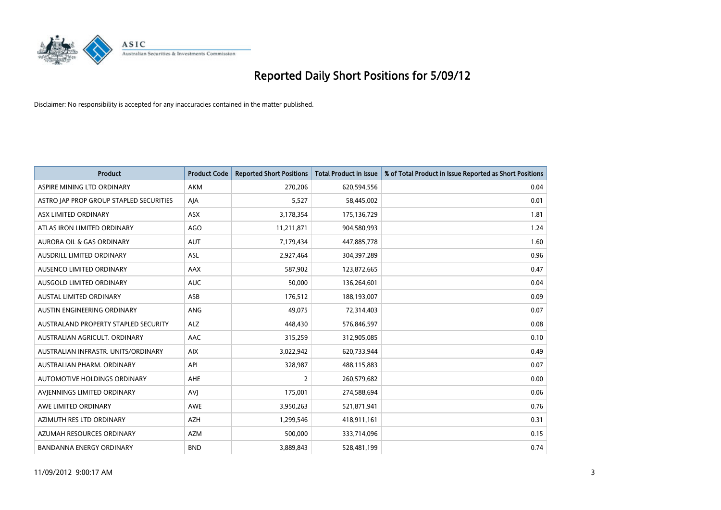

| <b>Product</b>                          | <b>Product Code</b> | <b>Reported Short Positions</b> | <b>Total Product in Issue</b> | % of Total Product in Issue Reported as Short Positions |
|-----------------------------------------|---------------------|---------------------------------|-------------------------------|---------------------------------------------------------|
| ASPIRE MINING LTD ORDINARY              | <b>AKM</b>          | 270,206                         | 620,594,556                   | 0.04                                                    |
| ASTRO JAP PROP GROUP STAPLED SECURITIES | AJA                 | 5,527                           | 58,445,002                    | 0.01                                                    |
| ASX LIMITED ORDINARY                    | <b>ASX</b>          | 3,178,354                       | 175,136,729                   | 1.81                                                    |
| ATLAS IRON LIMITED ORDINARY             | <b>AGO</b>          | 11,211,871                      | 904,580,993                   | 1.24                                                    |
| <b>AURORA OIL &amp; GAS ORDINARY</b>    | <b>AUT</b>          | 7,179,434                       | 447,885,778                   | 1.60                                                    |
| <b>AUSDRILL LIMITED ORDINARY</b>        | <b>ASL</b>          | 2,927,464                       | 304,397,289                   | 0.96                                                    |
| AUSENCO LIMITED ORDINARY                | AAX                 | 587,902                         | 123,872,665                   | 0.47                                                    |
| <b>AUSGOLD LIMITED ORDINARY</b>         | <b>AUC</b>          | 50,000                          | 136,264,601                   | 0.04                                                    |
| <b>AUSTAL LIMITED ORDINARY</b>          | ASB                 | 176,512                         | 188,193,007                   | 0.09                                                    |
| AUSTIN ENGINEERING ORDINARY             | <b>ANG</b>          | 49,075                          | 72,314,403                    | 0.07                                                    |
| AUSTRALAND PROPERTY STAPLED SECURITY    | <b>ALZ</b>          | 448,430                         | 576,846,597                   | 0.08                                                    |
| AUSTRALIAN AGRICULT. ORDINARY           | AAC                 | 315,259                         | 312,905,085                   | 0.10                                                    |
| AUSTRALIAN INFRASTR, UNITS/ORDINARY     | <b>AIX</b>          | 3,022,942                       | 620,733,944                   | 0.49                                                    |
| <b>AUSTRALIAN PHARM, ORDINARY</b>       | API                 | 328,987                         | 488,115,883                   | 0.07                                                    |
| <b>AUTOMOTIVE HOLDINGS ORDINARY</b>     | AHE                 | $\overline{2}$                  | 260,579,682                   | 0.00                                                    |
| AVJENNINGS LIMITED ORDINARY             | <b>AVJ</b>          | 175,001                         | 274,588,694                   | 0.06                                                    |
| AWE LIMITED ORDINARY                    | AWE                 | 3,950,263                       | 521,871,941                   | 0.76                                                    |
| AZIMUTH RES LTD ORDINARY                | <b>AZH</b>          | 1,299,546                       | 418,911,161                   | 0.31                                                    |
| AZUMAH RESOURCES ORDINARY               | <b>AZM</b>          | 500,000                         | 333,714,096                   | 0.15                                                    |
| BANDANNA ENERGY ORDINARY                | <b>BND</b>          | 3,889,843                       | 528,481,199                   | 0.74                                                    |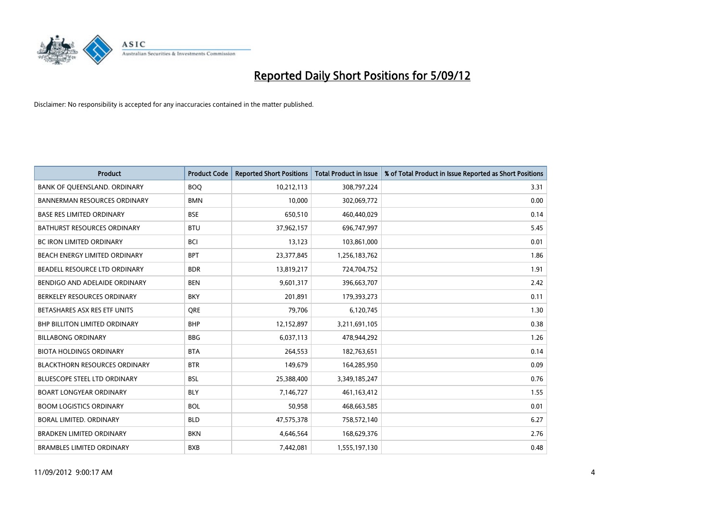

| <b>Product</b>                       | <b>Product Code</b> | <b>Reported Short Positions</b> | <b>Total Product in Issue</b> | % of Total Product in Issue Reported as Short Positions |
|--------------------------------------|---------------------|---------------------------------|-------------------------------|---------------------------------------------------------|
| BANK OF QUEENSLAND. ORDINARY         | <b>BOQ</b>          | 10,212,113                      | 308,797,224                   | 3.31                                                    |
| <b>BANNERMAN RESOURCES ORDINARY</b>  | <b>BMN</b>          | 10,000                          | 302,069,772                   | 0.00                                                    |
| <b>BASE RES LIMITED ORDINARY</b>     | <b>BSE</b>          | 650,510                         | 460,440,029                   | 0.14                                                    |
| BATHURST RESOURCES ORDINARY          | <b>BTU</b>          | 37,962,157                      | 696,747,997                   | 5.45                                                    |
| <b>BC IRON LIMITED ORDINARY</b>      | <b>BCI</b>          | 13,123                          | 103,861,000                   | 0.01                                                    |
| <b>BEACH ENERGY LIMITED ORDINARY</b> | <b>BPT</b>          | 23,377,845                      | 1,256,183,762                 | 1.86                                                    |
| BEADELL RESOURCE LTD ORDINARY        | <b>BDR</b>          | 13,819,217                      | 724,704,752                   | 1.91                                                    |
| BENDIGO AND ADELAIDE ORDINARY        | <b>BEN</b>          | 9,601,317                       | 396,663,707                   | 2.42                                                    |
| BERKELEY RESOURCES ORDINARY          | <b>BKY</b>          | 201,891                         | 179,393,273                   | 0.11                                                    |
| BETASHARES ASX RES ETF UNITS         | <b>ORE</b>          | 79,706                          | 6,120,745                     | 1.30                                                    |
| <b>BHP BILLITON LIMITED ORDINARY</b> | <b>BHP</b>          | 12,152,897                      | 3,211,691,105                 | 0.38                                                    |
| <b>BILLABONG ORDINARY</b>            | <b>BBG</b>          | 6,037,113                       | 478,944,292                   | 1.26                                                    |
| <b>BIOTA HOLDINGS ORDINARY</b>       | <b>BTA</b>          | 264,553                         | 182,763,651                   | 0.14                                                    |
| <b>BLACKTHORN RESOURCES ORDINARY</b> | <b>BTR</b>          | 149,679                         | 164,285,950                   | 0.09                                                    |
| <b>BLUESCOPE STEEL LTD ORDINARY</b>  | <b>BSL</b>          | 25,388,400                      | 3,349,185,247                 | 0.76                                                    |
| <b>BOART LONGYEAR ORDINARY</b>       | <b>BLY</b>          | 7,146,727                       | 461,163,412                   | 1.55                                                    |
| <b>BOOM LOGISTICS ORDINARY</b>       | <b>BOL</b>          | 50,958                          | 468,663,585                   | 0.01                                                    |
| BORAL LIMITED. ORDINARY              | <b>BLD</b>          | 47,575,378                      | 758,572,140                   | 6.27                                                    |
| <b>BRADKEN LIMITED ORDINARY</b>      | <b>BKN</b>          | 4,646,564                       | 168,629,376                   | 2.76                                                    |
| <b>BRAMBLES LIMITED ORDINARY</b>     | <b>BXB</b>          | 7,442,081                       | 1,555,197,130                 | 0.48                                                    |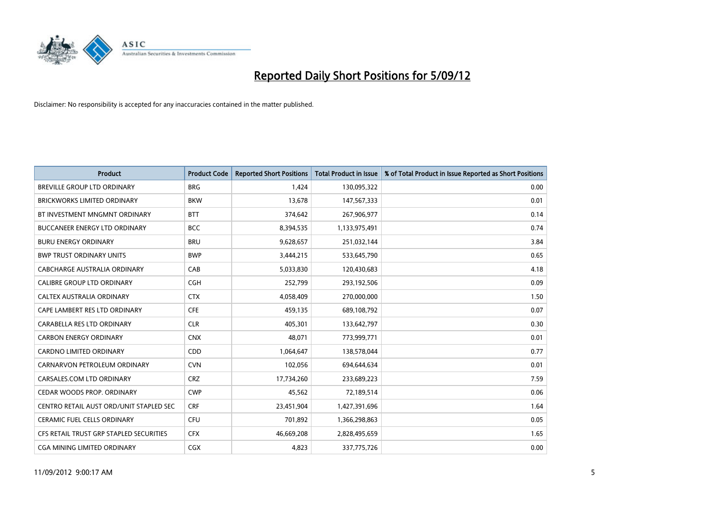

| <b>Product</b>                          | <b>Product Code</b> | <b>Reported Short Positions</b> | <b>Total Product in Issue</b> | % of Total Product in Issue Reported as Short Positions |
|-----------------------------------------|---------------------|---------------------------------|-------------------------------|---------------------------------------------------------|
| <b>BREVILLE GROUP LTD ORDINARY</b>      | <b>BRG</b>          | 1,424                           | 130,095,322                   | 0.00                                                    |
| BRICKWORKS LIMITED ORDINARY             | <b>BKW</b>          | 13,678                          | 147,567,333                   | 0.01                                                    |
| BT INVESTMENT MNGMNT ORDINARY           | <b>BTT</b>          | 374,642                         | 267,906,977                   | 0.14                                                    |
| BUCCANEER ENERGY LTD ORDINARY           | <b>BCC</b>          | 8,394,535                       | 1,133,975,491                 | 0.74                                                    |
| <b>BURU ENERGY ORDINARY</b>             | <b>BRU</b>          | 9,628,657                       | 251,032,144                   | 3.84                                                    |
| <b>BWP TRUST ORDINARY UNITS</b>         | <b>BWP</b>          | 3,444,215                       | 533,645,790                   | 0.65                                                    |
| CABCHARGE AUSTRALIA ORDINARY            | CAB                 | 5,033,830                       | 120,430,683                   | 4.18                                                    |
| CALIBRE GROUP LTD ORDINARY              | CGH                 | 252,799                         | 293,192,506                   | 0.09                                                    |
| CALTEX AUSTRALIA ORDINARY               | <b>CTX</b>          | 4,058,409                       | 270,000,000                   | 1.50                                                    |
| CAPE LAMBERT RES LTD ORDINARY           | <b>CFE</b>          | 459,135                         | 689,108,792                   | 0.07                                                    |
| CARABELLA RES LTD ORDINARY              | <b>CLR</b>          | 405,301                         | 133,642,797                   | 0.30                                                    |
| <b>CARBON ENERGY ORDINARY</b>           | <b>CNX</b>          | 48,071                          | 773,999,771                   | 0.01                                                    |
| <b>CARDNO LIMITED ORDINARY</b>          | <b>CDD</b>          | 1,064,647                       | 138,578,044                   | 0.77                                                    |
| CARNARVON PETROLEUM ORDINARY            | <b>CVN</b>          | 102,056                         | 694,644,634                   | 0.01                                                    |
| CARSALES.COM LTD ORDINARY               | <b>CRZ</b>          | 17,734,260                      | 233,689,223                   | 7.59                                                    |
| CEDAR WOODS PROP. ORDINARY              | <b>CWP</b>          | 45,562                          | 72,189,514                    | 0.06                                                    |
| CENTRO RETAIL AUST ORD/UNIT STAPLED SEC | <b>CRF</b>          | 23,451,904                      | 1,427,391,696                 | 1.64                                                    |
| <b>CERAMIC FUEL CELLS ORDINARY</b>      | CFU                 | 701,892                         | 1,366,298,863                 | 0.05                                                    |
| CFS RETAIL TRUST GRP STAPLED SECURITIES | <b>CFX</b>          | 46,669,208                      | 2,828,495,659                 | 1.65                                                    |
| CGA MINING LIMITED ORDINARY             | <b>CGX</b>          | 4.823                           | 337,775,726                   | 0.00                                                    |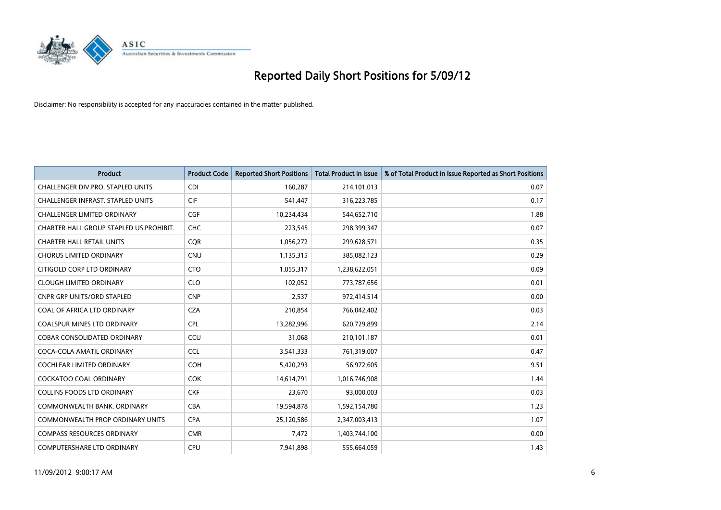

| <b>Product</b>                           | <b>Product Code</b> | <b>Reported Short Positions</b> | <b>Total Product in Issue</b> | % of Total Product in Issue Reported as Short Positions |
|------------------------------------------|---------------------|---------------------------------|-------------------------------|---------------------------------------------------------|
| CHALLENGER DIV.PRO. STAPLED UNITS        | <b>CDI</b>          | 160,287                         | 214,101,013                   | 0.07                                                    |
| <b>CHALLENGER INFRAST, STAPLED UNITS</b> | <b>CIF</b>          | 541,447                         | 316,223,785                   | 0.17                                                    |
| <b>CHALLENGER LIMITED ORDINARY</b>       | <b>CGF</b>          | 10,234,434                      | 544,652,710                   | 1.88                                                    |
| CHARTER HALL GROUP STAPLED US PROHIBIT.  | <b>CHC</b>          | 223,545                         | 298,399,347                   | 0.07                                                    |
| <b>CHARTER HALL RETAIL UNITS</b>         | <b>COR</b>          | 1,056,272                       | 299,628,571                   | 0.35                                                    |
| <b>CHORUS LIMITED ORDINARY</b>           | <b>CNU</b>          | 1,135,315                       | 385,082,123                   | 0.29                                                    |
| CITIGOLD CORP LTD ORDINARY               | <b>CTO</b>          | 1,055,317                       | 1,238,622,051                 | 0.09                                                    |
| <b>CLOUGH LIMITED ORDINARY</b>           | <b>CLO</b>          | 102,052                         | 773,787,656                   | 0.01                                                    |
| <b>CNPR GRP UNITS/ORD STAPLED</b>        | <b>CNP</b>          | 2,537                           | 972,414,514                   | 0.00                                                    |
| COAL OF AFRICA LTD ORDINARY              | <b>CZA</b>          | 210,854                         | 766,042,402                   | 0.03                                                    |
| <b>COALSPUR MINES LTD ORDINARY</b>       | <b>CPL</b>          | 13,282,996                      | 620,729,899                   | 2.14                                                    |
| <b>COBAR CONSOLIDATED ORDINARY</b>       | CCU                 | 31,068                          | 210,101,187                   | 0.01                                                    |
| COCA-COLA AMATIL ORDINARY                | <b>CCL</b>          | 3,541,333                       | 761,319,007                   | 0.47                                                    |
| <b>COCHLEAR LIMITED ORDINARY</b>         | <b>COH</b>          | 5,420,293                       | 56,972,605                    | 9.51                                                    |
| <b>COCKATOO COAL ORDINARY</b>            | <b>COK</b>          | 14,614,791                      | 1,016,746,908                 | 1.44                                                    |
| <b>COLLINS FOODS LTD ORDINARY</b>        | <b>CKF</b>          | 23,670                          | 93,000,003                    | 0.03                                                    |
| COMMONWEALTH BANK, ORDINARY              | <b>CBA</b>          | 19,594,878                      | 1,592,154,780                 | 1.23                                                    |
| <b>COMMONWEALTH PROP ORDINARY UNITS</b>  | <b>CPA</b>          | 25,120,586                      | 2,347,003,413                 | 1.07                                                    |
| <b>COMPASS RESOURCES ORDINARY</b>        | <b>CMR</b>          | 7,472                           | 1,403,744,100                 | 0.00                                                    |
| <b>COMPUTERSHARE LTD ORDINARY</b>        | CPU                 | 7,941,898                       | 555,664,059                   | 1.43                                                    |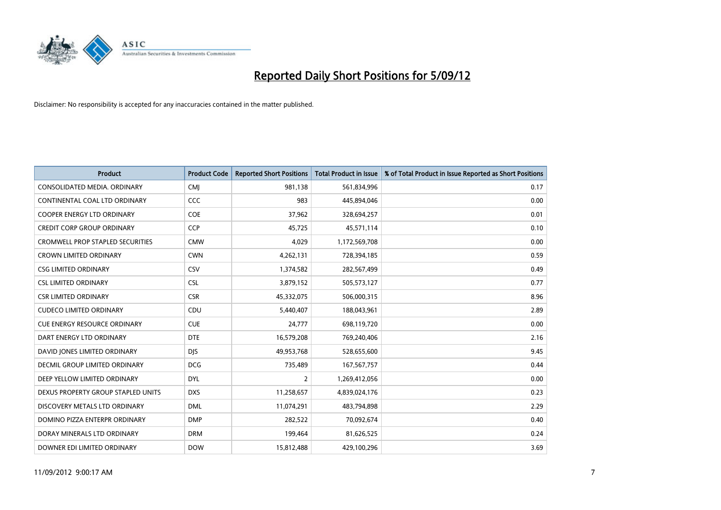

| <b>Product</b>                          | <b>Product Code</b> | <b>Reported Short Positions</b> | <b>Total Product in Issue</b> | % of Total Product in Issue Reported as Short Positions |
|-----------------------------------------|---------------------|---------------------------------|-------------------------------|---------------------------------------------------------|
| CONSOLIDATED MEDIA, ORDINARY            | <b>CMI</b>          | 981,138                         | 561,834,996                   | 0.17                                                    |
| CONTINENTAL COAL LTD ORDINARY           | CCC                 | 983                             | 445,894,046                   | 0.00                                                    |
| <b>COOPER ENERGY LTD ORDINARY</b>       | <b>COE</b>          | 37,962                          | 328,694,257                   | 0.01                                                    |
| CREDIT CORP GROUP ORDINARY              | <b>CCP</b>          | 45,725                          | 45,571,114                    | 0.10                                                    |
| <b>CROMWELL PROP STAPLED SECURITIES</b> | <b>CMW</b>          | 4,029                           | 1,172,569,708                 | 0.00                                                    |
| <b>CROWN LIMITED ORDINARY</b>           | <b>CWN</b>          | 4,262,131                       | 728,394,185                   | 0.59                                                    |
| <b>CSG LIMITED ORDINARY</b>             | CSV                 | 1,374,582                       | 282,567,499                   | 0.49                                                    |
| <b>CSL LIMITED ORDINARY</b>             | <b>CSL</b>          | 3,879,152                       | 505,573,127                   | 0.77                                                    |
| <b>CSR LIMITED ORDINARY</b>             | <b>CSR</b>          | 45,332,075                      | 506,000,315                   | 8.96                                                    |
| <b>CUDECO LIMITED ORDINARY</b>          | CDU                 | 5,440,407                       | 188,043,961                   | 2.89                                                    |
| <b>CUE ENERGY RESOURCE ORDINARY</b>     | <b>CUE</b>          | 24,777                          | 698,119,720                   | 0.00                                                    |
| DART ENERGY LTD ORDINARY                | <b>DTE</b>          | 16,579,208                      | 769,240,406                   | 2.16                                                    |
| DAVID JONES LIMITED ORDINARY            | <b>DJS</b>          | 49,953,768                      | 528,655,600                   | 9.45                                                    |
| <b>DECMIL GROUP LIMITED ORDINARY</b>    | <b>DCG</b>          | 735,489                         | 167, 567, 757                 | 0.44                                                    |
| DEEP YELLOW LIMITED ORDINARY            | <b>DYL</b>          | 2                               | 1,269,412,056                 | 0.00                                                    |
| DEXUS PROPERTY GROUP STAPLED UNITS      | <b>DXS</b>          | 11,258,657                      | 4,839,024,176                 | 0.23                                                    |
| DISCOVERY METALS LTD ORDINARY           | <b>DML</b>          | 11,074,291                      | 483,794,898                   | 2.29                                                    |
| DOMINO PIZZA ENTERPR ORDINARY           | <b>DMP</b>          | 282,522                         | 70,092,674                    | 0.40                                                    |
| DORAY MINERALS LTD ORDINARY             | <b>DRM</b>          | 199,464                         | 81,626,525                    | 0.24                                                    |
| DOWNER EDI LIMITED ORDINARY             | <b>DOW</b>          | 15,812,488                      | 429,100,296                   | 3.69                                                    |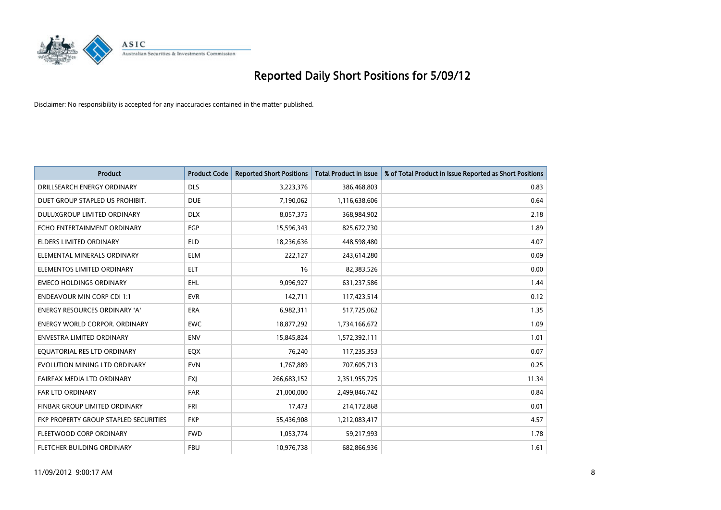

| <b>Product</b>                        | <b>Product Code</b> | <b>Reported Short Positions</b> | <b>Total Product in Issue</b> | % of Total Product in Issue Reported as Short Positions |
|---------------------------------------|---------------------|---------------------------------|-------------------------------|---------------------------------------------------------|
| DRILLSEARCH ENERGY ORDINARY           | <b>DLS</b>          | 3,223,376                       | 386,468,803                   | 0.83                                                    |
| DUET GROUP STAPLED US PROHIBIT.       | <b>DUE</b>          | 7,190,062                       | 1,116,638,606                 | 0.64                                                    |
| DULUXGROUP LIMITED ORDINARY           | <b>DLX</b>          | 8,057,375                       | 368,984,902                   | 2.18                                                    |
| ECHO ENTERTAINMENT ORDINARY           | EGP                 | 15,596,343                      | 825,672,730                   | 1.89                                                    |
| <b>ELDERS LIMITED ORDINARY</b>        | <b>ELD</b>          | 18,236,636                      | 448,598,480                   | 4.07                                                    |
| ELEMENTAL MINERALS ORDINARY           | <b>ELM</b>          | 222,127                         | 243,614,280                   | 0.09                                                    |
| ELEMENTOS LIMITED ORDINARY            | <b>ELT</b>          | 16                              | 82,383,526                    | 0.00                                                    |
| <b>EMECO HOLDINGS ORDINARY</b>        | <b>EHL</b>          | 9,096,927                       | 631,237,586                   | 1.44                                                    |
| <b>ENDEAVOUR MIN CORP CDI 1:1</b>     | <b>EVR</b>          | 142,711                         | 117,423,514                   | 0.12                                                    |
| <b>ENERGY RESOURCES ORDINARY 'A'</b>  | <b>ERA</b>          | 6,982,311                       | 517,725,062                   | 1.35                                                    |
| <b>ENERGY WORLD CORPOR. ORDINARY</b>  | <b>EWC</b>          | 18,877,292                      | 1,734,166,672                 | 1.09                                                    |
| <b>ENVESTRA LIMITED ORDINARY</b>      | <b>ENV</b>          | 15,845,824                      | 1,572,392,111                 | 1.01                                                    |
| EQUATORIAL RES LTD ORDINARY           | <b>EQX</b>          | 76,240                          | 117,235,353                   | 0.07                                                    |
| EVOLUTION MINING LTD ORDINARY         | <b>EVN</b>          | 1,767,889                       | 707,605,713                   | 0.25                                                    |
| FAIRFAX MEDIA LTD ORDINARY            | <b>FXI</b>          | 266,683,152                     | 2,351,955,725                 | 11.34                                                   |
| FAR LTD ORDINARY                      | <b>FAR</b>          | 21,000,000                      | 2,499,846,742                 | 0.84                                                    |
| FINBAR GROUP LIMITED ORDINARY         | <b>FRI</b>          | 17,473                          | 214,172,868                   | 0.01                                                    |
| FKP PROPERTY GROUP STAPLED SECURITIES | <b>FKP</b>          | 55,436,908                      | 1,212,083,417                 | 4.57                                                    |
| FLEETWOOD CORP ORDINARY               | <b>FWD</b>          | 1,053,774                       | 59,217,993                    | 1.78                                                    |
| FLETCHER BUILDING ORDINARY            | <b>FBU</b>          | 10,976,738                      | 682,866,936                   | 1.61                                                    |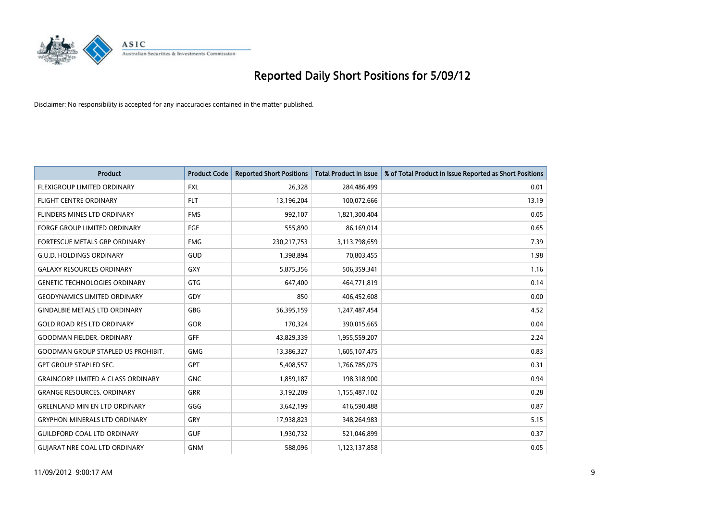

| <b>Product</b>                            | <b>Product Code</b> | <b>Reported Short Positions</b> | <b>Total Product in Issue</b> | % of Total Product in Issue Reported as Short Positions |
|-------------------------------------------|---------------------|---------------------------------|-------------------------------|---------------------------------------------------------|
| <b>FLEXIGROUP LIMITED ORDINARY</b>        | <b>FXL</b>          | 26,328                          | 284,486,499                   | 0.01                                                    |
| FLIGHT CENTRE ORDINARY                    | <b>FLT</b>          | 13,196,204                      | 100,072,666                   | 13.19                                                   |
| <b>FLINDERS MINES LTD ORDINARY</b>        | <b>FMS</b>          | 992,107                         | 1,821,300,404                 | 0.05                                                    |
| FORGE GROUP LIMITED ORDINARY              | FGE                 | 555,890                         | 86,169,014                    | 0.65                                                    |
| FORTESCUE METALS GRP ORDINARY             | <b>FMG</b>          | 230, 217, 753                   | 3,113,798,659                 | 7.39                                                    |
| <b>G.U.D. HOLDINGS ORDINARY</b>           | GUD                 | 1,398,894                       | 70,803,455                    | 1.98                                                    |
| <b>GALAXY RESOURCES ORDINARY</b>          | <b>GXY</b>          | 5,875,356                       | 506,359,341                   | 1.16                                                    |
| <b>GENETIC TECHNOLOGIES ORDINARY</b>      | <b>GTG</b>          | 647,400                         | 464,771,819                   | 0.14                                                    |
| <b>GEODYNAMICS LIMITED ORDINARY</b>       | GDY                 | 850                             | 406,452,608                   | 0.00                                                    |
| <b>GINDALBIE METALS LTD ORDINARY</b>      | GBG                 | 56,395,159                      | 1,247,487,454                 | 4.52                                                    |
| <b>GOLD ROAD RES LTD ORDINARY</b>         | GOR                 | 170,324                         | 390,015,665                   | 0.04                                                    |
| <b>GOODMAN FIELDER, ORDINARY</b>          | GFF                 | 43,829,339                      | 1,955,559,207                 | 2.24                                                    |
| <b>GOODMAN GROUP STAPLED US PROHIBIT.</b> | <b>GMG</b>          | 13,386,327                      | 1,605,107,475                 | 0.83                                                    |
| <b>GPT GROUP STAPLED SEC.</b>             | <b>GPT</b>          | 5,408,557                       | 1,766,785,075                 | 0.31                                                    |
| <b>GRAINCORP LIMITED A CLASS ORDINARY</b> | <b>GNC</b>          | 1,859,187                       | 198,318,900                   | 0.94                                                    |
| <b>GRANGE RESOURCES. ORDINARY</b>         | GRR                 | 3,192,209                       | 1,155,487,102                 | 0.28                                                    |
| <b>GREENLAND MIN EN LTD ORDINARY</b>      | GGG                 | 3,642,199                       | 416,590,488                   | 0.87                                                    |
| <b>GRYPHON MINERALS LTD ORDINARY</b>      | GRY                 | 17,938,823                      | 348,264,983                   | 5.15                                                    |
| <b>GUILDFORD COAL LTD ORDINARY</b>        | <b>GUF</b>          | 1,930,732                       | 521,046,899                   | 0.37                                                    |
| <b>GUIARAT NRE COAL LTD ORDINARY</b>      | <b>GNM</b>          | 588.096                         | 1,123,137,858                 | 0.05                                                    |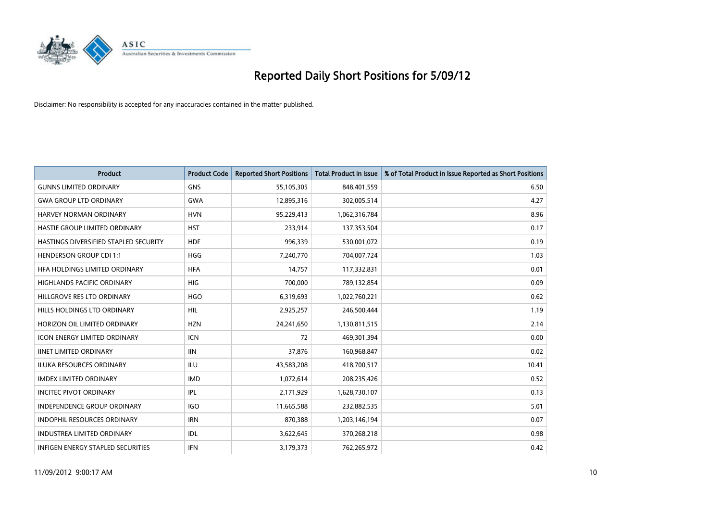

| <b>Product</b>                           | <b>Product Code</b> | <b>Reported Short Positions</b> | <b>Total Product in Issue</b> | % of Total Product in Issue Reported as Short Positions |
|------------------------------------------|---------------------|---------------------------------|-------------------------------|---------------------------------------------------------|
| <b>GUNNS LIMITED ORDINARY</b>            | <b>GNS</b>          | 55,105,305                      | 848,401,559                   | 6.50                                                    |
| <b>GWA GROUP LTD ORDINARY</b>            | <b>GWA</b>          | 12,895,316                      | 302,005,514                   | 4.27                                                    |
| HARVEY NORMAN ORDINARY                   | <b>HVN</b>          | 95,229,413                      | 1,062,316,784                 | 8.96                                                    |
| HASTIE GROUP LIMITED ORDINARY            | <b>HST</b>          | 233,914                         | 137,353,504                   | 0.17                                                    |
| HASTINGS DIVERSIFIED STAPLED SECURITY    | <b>HDF</b>          | 996,339                         | 530,001,072                   | 0.19                                                    |
| <b>HENDERSON GROUP CDI 1:1</b>           | <b>HGG</b>          | 7,240,770                       | 704,007,724                   | 1.03                                                    |
| HFA HOLDINGS LIMITED ORDINARY            | <b>HFA</b>          | 14,757                          | 117,332,831                   | 0.01                                                    |
| <b>HIGHLANDS PACIFIC ORDINARY</b>        | <b>HIG</b>          | 700,000                         | 789,132,854                   | 0.09                                                    |
| HILLGROVE RES LTD ORDINARY               | <b>HGO</b>          | 6,319,693                       | 1,022,760,221                 | 0.62                                                    |
| HILLS HOLDINGS LTD ORDINARY              | <b>HIL</b>          | 2,925,257                       | 246,500,444                   | 1.19                                                    |
| HORIZON OIL LIMITED ORDINARY             | <b>HZN</b>          | 24,241,650                      | 1,130,811,515                 | 2.14                                                    |
| <b>ICON ENERGY LIMITED ORDINARY</b>      | <b>ICN</b>          | 72                              | 469,301,394                   | 0.00                                                    |
| <b>IINET LIMITED ORDINARY</b>            | <b>IIN</b>          | 37,876                          | 160,968,847                   | 0.02                                                    |
| <b>ILUKA RESOURCES ORDINARY</b>          | ILU                 | 43,583,208                      | 418,700,517                   | 10.41                                                   |
| IMDEX LIMITED ORDINARY                   | <b>IMD</b>          | 1,072,614                       | 208,235,426                   | 0.52                                                    |
| <b>INCITEC PIVOT ORDINARY</b>            | <b>IPL</b>          | 2,171,929                       | 1,628,730,107                 | 0.13                                                    |
| <b>INDEPENDENCE GROUP ORDINARY</b>       | <b>IGO</b>          | 11,665,588                      | 232,882,535                   | 5.01                                                    |
| INDOPHIL RESOURCES ORDINARY              | <b>IRN</b>          | 870,388                         | 1,203,146,194                 | 0.07                                                    |
| <b>INDUSTREA LIMITED ORDINARY</b>        | <b>IDL</b>          | 3,622,645                       | 370,268,218                   | 0.98                                                    |
| <b>INFIGEN ENERGY STAPLED SECURITIES</b> | <b>IFN</b>          | 3,179,373                       | 762,265,972                   | 0.42                                                    |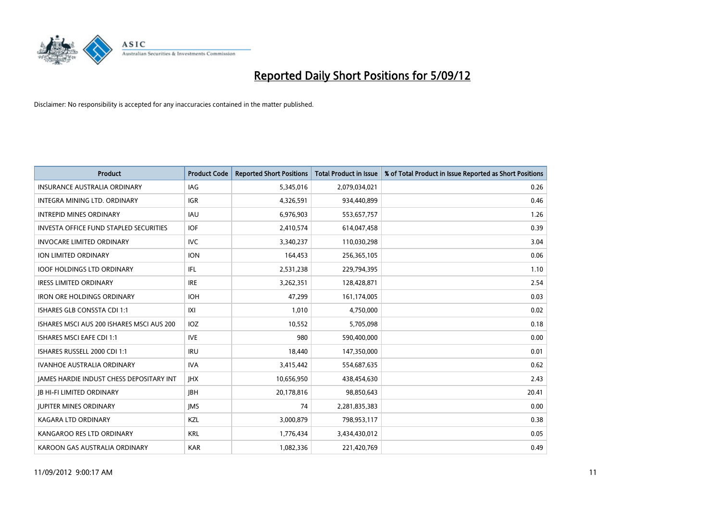

| <b>Product</b>                                  | <b>Product Code</b> | <b>Reported Short Positions</b> | <b>Total Product in Issue</b> | % of Total Product in Issue Reported as Short Positions |
|-------------------------------------------------|---------------------|---------------------------------|-------------------------------|---------------------------------------------------------|
| <b>INSURANCE AUSTRALIA ORDINARY</b>             | IAG                 | 5,345,016                       | 2,079,034,021                 | 0.26                                                    |
| INTEGRA MINING LTD. ORDINARY                    | <b>IGR</b>          | 4,326,591                       | 934,440,899                   | 0.46                                                    |
| <b>INTREPID MINES ORDINARY</b>                  | <b>IAU</b>          | 6,976,903                       | 553,657,757                   | 1.26                                                    |
| <b>INVESTA OFFICE FUND STAPLED SECURITIES</b>   | <b>IOF</b>          | 2,410,574                       | 614,047,458                   | 0.39                                                    |
| <b>INVOCARE LIMITED ORDINARY</b>                | <b>IVC</b>          | 3,340,237                       | 110,030,298                   | 3.04                                                    |
| ION LIMITED ORDINARY                            | <b>ION</b>          | 164,453                         | 256,365,105                   | 0.06                                                    |
| <b>IOOF HOLDINGS LTD ORDINARY</b>               | IFL                 | 2,531,238                       | 229,794,395                   | 1.10                                                    |
| <b>IRESS LIMITED ORDINARY</b>                   | <b>IRE</b>          | 3,262,351                       | 128,428,871                   | 2.54                                                    |
| <b>IRON ORE HOLDINGS ORDINARY</b>               | <b>IOH</b>          | 47,299                          | 161,174,005                   | 0.03                                                    |
| <b>ISHARES GLB CONSSTA CDI 1:1</b>              | X                   | 1,010                           | 4,750,000                     | 0.02                                                    |
| ISHARES MSCI AUS 200 ISHARES MSCI AUS 200       | <b>IOZ</b>          | 10,552                          | 5,705,098                     | 0.18                                                    |
| ISHARES MSCI EAFE CDI 1:1                       | <b>IVE</b>          | 980                             | 590,400,000                   | 0.00                                                    |
| ISHARES RUSSELL 2000 CDI 1:1                    | <b>IRU</b>          | 18.440                          | 147,350,000                   | 0.01                                                    |
| <b>IVANHOE AUSTRALIA ORDINARY</b>               | <b>IVA</b>          | 3,415,442                       | 554,687,635                   | 0.62                                                    |
| <b>JAMES HARDIE INDUST CHESS DEPOSITARY INT</b> | <b>IHX</b>          | 10,656,950                      | 438,454,630                   | 2.43                                                    |
| <b>JB HI-FI LIMITED ORDINARY</b>                | <b>IBH</b>          | 20,178,816                      | 98,850,643                    | 20.41                                                   |
| <b>JUPITER MINES ORDINARY</b>                   | <b>IMS</b>          | 74                              | 2,281,835,383                 | 0.00                                                    |
| <b>KAGARA LTD ORDINARY</b>                      | <b>KZL</b>          | 3,000,879                       | 798,953,117                   | 0.38                                                    |
| KANGAROO RES LTD ORDINARY                       | <b>KRL</b>          | 1,776,434                       | 3,434,430,012                 | 0.05                                                    |
| KAROON GAS AUSTRALIA ORDINARY                   | <b>KAR</b>          | 1,082,336                       | 221,420,769                   | 0.49                                                    |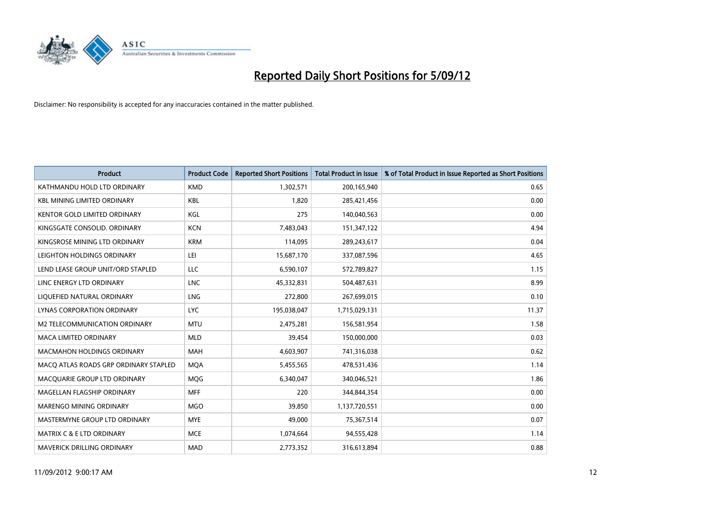

| <b>Product</b>                        | <b>Product Code</b> | <b>Reported Short Positions</b> | <b>Total Product in Issue</b> | % of Total Product in Issue Reported as Short Positions |
|---------------------------------------|---------------------|---------------------------------|-------------------------------|---------------------------------------------------------|
| KATHMANDU HOLD LTD ORDINARY           | <b>KMD</b>          | 1,302,571                       | 200,165,940                   | 0.65                                                    |
| <b>KBL MINING LIMITED ORDINARY</b>    | <b>KBL</b>          | 1,820                           | 285,421,456                   | 0.00                                                    |
| <b>KENTOR GOLD LIMITED ORDINARY</b>   | KGL                 | 275                             | 140,040,563                   | 0.00                                                    |
| KINGSGATE CONSOLID. ORDINARY          | <b>KCN</b>          | 7,483,043                       | 151,347,122                   | 4.94                                                    |
| KINGSROSE MINING LTD ORDINARY         | <b>KRM</b>          | 114,095                         | 289,243,617                   | 0.04                                                    |
| LEIGHTON HOLDINGS ORDINARY            | LEI                 | 15,687,170                      | 337,087,596                   | 4.65                                                    |
| LEND LEASE GROUP UNIT/ORD STAPLED     | LLC                 | 6,590,107                       | 572,789,827                   | 1.15                                                    |
| LINC ENERGY LTD ORDINARY              | <b>LNC</b>          | 45,332,831                      | 504,487,631                   | 8.99                                                    |
| LIQUEFIED NATURAL ORDINARY            | <b>LNG</b>          | 272,800                         | 267,699,015                   | 0.10                                                    |
| <b>LYNAS CORPORATION ORDINARY</b>     | <b>LYC</b>          | 195,038,047                     | 1,715,029,131                 | 11.37                                                   |
| M2 TELECOMMUNICATION ORDINARY         | <b>MTU</b>          | 2,475,281                       | 156,581,954                   | 1.58                                                    |
| <b>MACA LIMITED ORDINARY</b>          | <b>MLD</b>          | 39,454                          | 150,000,000                   | 0.03                                                    |
| <b>MACMAHON HOLDINGS ORDINARY</b>     | <b>MAH</b>          | 4,603,907                       | 741,316,038                   | 0.62                                                    |
| MACQ ATLAS ROADS GRP ORDINARY STAPLED | <b>MOA</b>          | 5,455,565                       | 478,531,436                   | 1.14                                                    |
| MACQUARIE GROUP LTD ORDINARY          | <b>MOG</b>          | 6,340,047                       | 340,046,521                   | 1.86                                                    |
| MAGELLAN FLAGSHIP ORDINARY            | <b>MFF</b>          | 220                             | 344,844,354                   | 0.00                                                    |
| <b>MARENGO MINING ORDINARY</b>        | <b>MGO</b>          | 39,850                          | 1,137,720,551                 | 0.00                                                    |
| MASTERMYNE GROUP LTD ORDINARY         | <b>MYE</b>          | 49,000                          | 75,367,514                    | 0.07                                                    |
| <b>MATRIX C &amp; E LTD ORDINARY</b>  | <b>MCE</b>          | 1,074,664                       | 94,555,428                    | 1.14                                                    |
| <b>MAVERICK DRILLING ORDINARY</b>     | <b>MAD</b>          | 2,773,352                       | 316,613,894                   | 0.88                                                    |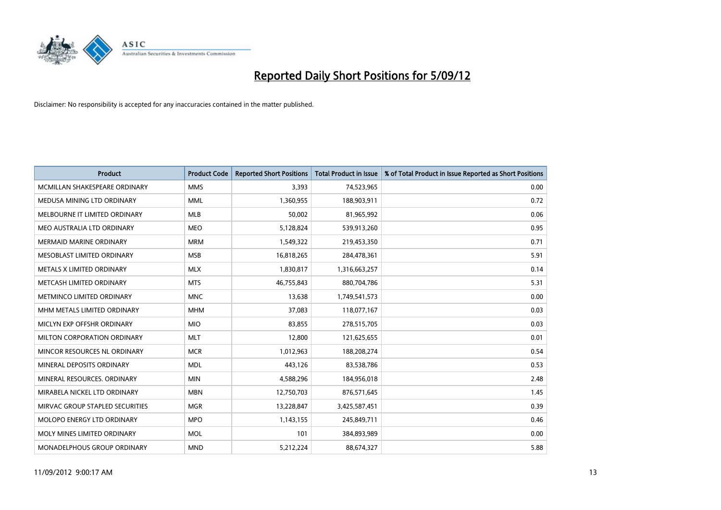

| <b>Product</b>                   | <b>Product Code</b> | <b>Reported Short Positions</b> | <b>Total Product in Issue</b> | % of Total Product in Issue Reported as Short Positions |
|----------------------------------|---------------------|---------------------------------|-------------------------------|---------------------------------------------------------|
| MCMILLAN SHAKESPEARE ORDINARY    | <b>MMS</b>          | 3,393                           | 74,523,965                    | 0.00                                                    |
| MEDUSA MINING LTD ORDINARY       | <b>MML</b>          | 1,360,955                       | 188,903,911                   | 0.72                                                    |
| MELBOURNE IT LIMITED ORDINARY    | <b>MLB</b>          | 50,002                          | 81,965,992                    | 0.06                                                    |
| MEO AUSTRALIA LTD ORDINARY       | <b>MEO</b>          | 5,128,824                       | 539,913,260                   | 0.95                                                    |
| <b>MERMAID MARINE ORDINARY</b>   | <b>MRM</b>          | 1,549,322                       | 219,453,350                   | 0.71                                                    |
| MESOBLAST LIMITED ORDINARY       | <b>MSB</b>          | 16,818,265                      | 284,478,361                   | 5.91                                                    |
| <b>METALS X LIMITED ORDINARY</b> | <b>MLX</b>          | 1,830,817                       | 1,316,663,257                 | 0.14                                                    |
| METCASH LIMITED ORDINARY         | <b>MTS</b>          | 46,755,843                      | 880,704,786                   | 5.31                                                    |
| METMINCO LIMITED ORDINARY        | <b>MNC</b>          | 13,638                          | 1,749,541,573                 | 0.00                                                    |
| MHM METALS LIMITED ORDINARY      | <b>MHM</b>          | 37,083                          | 118,077,167                   | 0.03                                                    |
| MICLYN EXP OFFSHR ORDINARY       | <b>MIO</b>          | 83,855                          | 278,515,705                   | 0.03                                                    |
| MILTON CORPORATION ORDINARY      | <b>MLT</b>          | 12,800                          | 121,625,655                   | 0.01                                                    |
| MINCOR RESOURCES NL ORDINARY     | <b>MCR</b>          | 1,012,963                       | 188,208,274                   | 0.54                                                    |
| MINERAL DEPOSITS ORDINARY        | <b>MDL</b>          | 443,126                         | 83,538,786                    | 0.53                                                    |
| MINERAL RESOURCES, ORDINARY      | <b>MIN</b>          | 4,588,296                       | 184,956,018                   | 2.48                                                    |
| MIRABELA NICKEL LTD ORDINARY     | <b>MBN</b>          | 12,750,703                      | 876,571,645                   | 1.45                                                    |
| MIRVAC GROUP STAPLED SECURITIES  | <b>MGR</b>          | 13,228,847                      | 3,425,587,451                 | 0.39                                                    |
| MOLOPO ENERGY LTD ORDINARY       | <b>MPO</b>          | 1,143,155                       | 245,849,711                   | 0.46                                                    |
| MOLY MINES LIMITED ORDINARY      | <b>MOL</b>          | 101                             | 384,893,989                   | 0.00                                                    |
| MONADELPHOUS GROUP ORDINARY      | <b>MND</b>          | 5,212,224                       | 88,674,327                    | 5.88                                                    |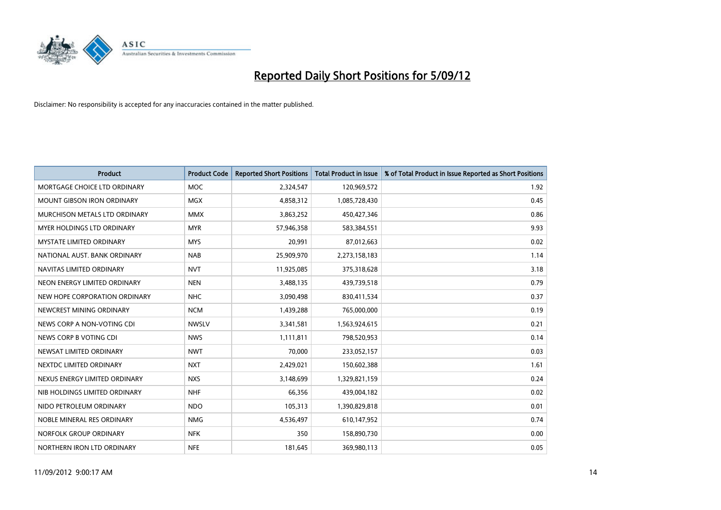

| <b>Product</b>                    | <b>Product Code</b> | <b>Reported Short Positions</b> | <b>Total Product in Issue</b> | % of Total Product in Issue Reported as Short Positions |
|-----------------------------------|---------------------|---------------------------------|-------------------------------|---------------------------------------------------------|
| MORTGAGE CHOICE LTD ORDINARY      | <b>MOC</b>          | 2,324,547                       | 120,969,572                   | 1.92                                                    |
| <b>MOUNT GIBSON IRON ORDINARY</b> | <b>MGX</b>          | 4,858,312                       | 1,085,728,430                 | 0.45                                                    |
| MURCHISON METALS LTD ORDINARY     | <b>MMX</b>          | 3,863,252                       | 450,427,346                   | 0.86                                                    |
| MYER HOLDINGS LTD ORDINARY        | <b>MYR</b>          | 57,946,358                      | 583,384,551                   | 9.93                                                    |
| <b>MYSTATE LIMITED ORDINARY</b>   | <b>MYS</b>          | 20,991                          | 87,012,663                    | 0.02                                                    |
| NATIONAL AUST. BANK ORDINARY      | <b>NAB</b>          | 25,909,970                      | 2,273,158,183                 | 1.14                                                    |
| NAVITAS LIMITED ORDINARY          | <b>NVT</b>          | 11,925,085                      | 375,318,628                   | 3.18                                                    |
| NEON ENERGY LIMITED ORDINARY      | <b>NEN</b>          | 3,488,135                       | 439,739,518                   | 0.79                                                    |
| NEW HOPE CORPORATION ORDINARY     | <b>NHC</b>          | 3,090,498                       | 830,411,534                   | 0.37                                                    |
| NEWCREST MINING ORDINARY          | <b>NCM</b>          | 1,439,288                       | 765,000,000                   | 0.19                                                    |
| NEWS CORP A NON-VOTING CDI        | <b>NWSLV</b>        | 3,341,581                       | 1,563,924,615                 | 0.21                                                    |
| NEWS CORP B VOTING CDI            | <b>NWS</b>          | 1,111,811                       | 798,520,953                   | 0.14                                                    |
| NEWSAT LIMITED ORDINARY           | <b>NWT</b>          | 70,000                          | 233,052,157                   | 0.03                                                    |
| NEXTDC LIMITED ORDINARY           | <b>NXT</b>          | 2,429,021                       | 150,602,388                   | 1.61                                                    |
| NEXUS ENERGY LIMITED ORDINARY     | <b>NXS</b>          | 3,148,699                       | 1,329,821,159                 | 0.24                                                    |
| NIB HOLDINGS LIMITED ORDINARY     | <b>NHF</b>          | 66,356                          | 439,004,182                   | 0.02                                                    |
| NIDO PETROLEUM ORDINARY           | <b>NDO</b>          | 105,313                         | 1,390,829,818                 | 0.01                                                    |
| NOBLE MINERAL RES ORDINARY        | <b>NMG</b>          | 4,536,497                       | 610,147,952                   | 0.74                                                    |
| NORFOLK GROUP ORDINARY            | <b>NFK</b>          | 350                             | 158,890,730                   | 0.00                                                    |
| NORTHERN IRON LTD ORDINARY        | <b>NFE</b>          | 181,645                         | 369,980,113                   | 0.05                                                    |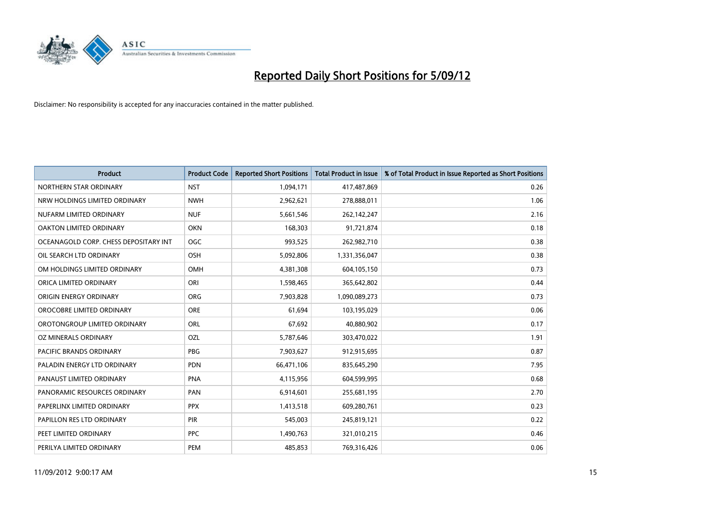

| <b>Product</b>                        | <b>Product Code</b> | <b>Reported Short Positions</b> | <b>Total Product in Issue</b> | % of Total Product in Issue Reported as Short Positions |
|---------------------------------------|---------------------|---------------------------------|-------------------------------|---------------------------------------------------------|
| NORTHERN STAR ORDINARY                | <b>NST</b>          | 1,094,171                       | 417,487,869                   | 0.26                                                    |
| NRW HOLDINGS LIMITED ORDINARY         | <b>NWH</b>          | 2,962,621                       | 278,888,011                   | 1.06                                                    |
| NUFARM LIMITED ORDINARY               | <b>NUF</b>          | 5,661,546                       | 262,142,247                   | 2.16                                                    |
| OAKTON LIMITED ORDINARY               | <b>OKN</b>          | 168,303                         | 91,721,874                    | 0.18                                                    |
| OCEANAGOLD CORP. CHESS DEPOSITARY INT | <b>OGC</b>          | 993,525                         | 262,982,710                   | 0.38                                                    |
| OIL SEARCH LTD ORDINARY               | <b>OSH</b>          | 5,092,806                       | 1,331,356,047                 | 0.38                                                    |
| OM HOLDINGS LIMITED ORDINARY          | <b>OMH</b>          | 4,381,308                       | 604,105,150                   | 0.73                                                    |
| ORICA LIMITED ORDINARY                | ORI                 | 1,598,465                       | 365,642,802                   | 0.44                                                    |
| ORIGIN ENERGY ORDINARY                | <b>ORG</b>          | 7,903,828                       | 1,090,089,273                 | 0.73                                                    |
| OROCOBRE LIMITED ORDINARY             | <b>ORE</b>          | 61,694                          | 103,195,029                   | 0.06                                                    |
| OROTONGROUP LIMITED ORDINARY          | ORL                 | 67,692                          | 40,880,902                    | 0.17                                                    |
| OZ MINERALS ORDINARY                  | OZL                 | 5,787,646                       | 303,470,022                   | 1.91                                                    |
| PACIFIC BRANDS ORDINARY               | <b>PBG</b>          | 7,903,627                       | 912,915,695                   | 0.87                                                    |
| PALADIN ENERGY LTD ORDINARY           | <b>PDN</b>          | 66,471,106                      | 835,645,290                   | 7.95                                                    |
| PANAUST LIMITED ORDINARY              | <b>PNA</b>          | 4,115,956                       | 604,599,995                   | 0.68                                                    |
| PANORAMIC RESOURCES ORDINARY          | PAN                 | 6,914,601                       | 255,681,195                   | 2.70                                                    |
| PAPERLINX LIMITED ORDINARY            | <b>PPX</b>          | 1,413,518                       | 609,280,761                   | 0.23                                                    |
| PAPILLON RES LTD ORDINARY             | <b>PIR</b>          | 545,003                         | 245,819,121                   | 0.22                                                    |
| PEET LIMITED ORDINARY                 | <b>PPC</b>          | 1,490,763                       | 321,010,215                   | 0.46                                                    |
| PERILYA LIMITED ORDINARY              | PEM                 | 485,853                         | 769,316,426                   | 0.06                                                    |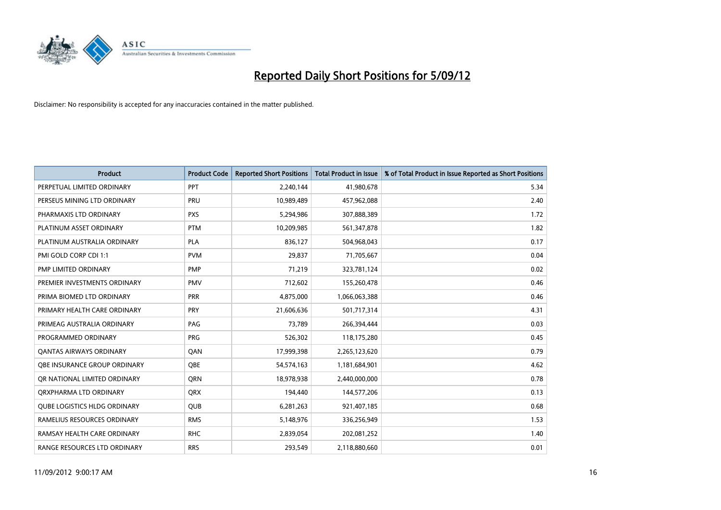

| <b>Product</b>                      | <b>Product Code</b> | <b>Reported Short Positions</b> | <b>Total Product in Issue</b> | % of Total Product in Issue Reported as Short Positions |
|-------------------------------------|---------------------|---------------------------------|-------------------------------|---------------------------------------------------------|
| PERPETUAL LIMITED ORDINARY          | PPT                 | 2,240,144                       | 41,980,678                    | 5.34                                                    |
| PERSEUS MINING LTD ORDINARY         | PRU                 | 10,989,489                      | 457,962,088                   | 2.40                                                    |
| PHARMAXIS LTD ORDINARY              | <b>PXS</b>          | 5,294,986                       | 307,888,389                   | 1.72                                                    |
| PLATINUM ASSET ORDINARY             | <b>PTM</b>          | 10,209,985                      | 561,347,878                   | 1.82                                                    |
| PLATINUM AUSTRALIA ORDINARY         | <b>PLA</b>          | 836,127                         | 504,968,043                   | 0.17                                                    |
| PMI GOLD CORP CDI 1:1               | <b>PVM</b>          | 29,837                          | 71,705,667                    | 0.04                                                    |
| PMP LIMITED ORDINARY                | <b>PMP</b>          | 71.219                          | 323,781,124                   | 0.02                                                    |
| PREMIER INVESTMENTS ORDINARY        | <b>PMV</b>          | 712,602                         | 155,260,478                   | 0.46                                                    |
| PRIMA BIOMED LTD ORDINARY           | <b>PRR</b>          | 4,875,000                       | 1,066,063,388                 | 0.46                                                    |
| PRIMARY HEALTH CARE ORDINARY        | <b>PRY</b>          | 21,606,636                      | 501,717,314                   | 4.31                                                    |
| PRIMEAG AUSTRALIA ORDINARY          | PAG                 | 73,789                          | 266,394,444                   | 0.03                                                    |
| PROGRAMMED ORDINARY                 | PRG                 | 526,302                         | 118,175,280                   | 0.45                                                    |
| <b>QANTAS AIRWAYS ORDINARY</b>      | QAN                 | 17,999,398                      | 2,265,123,620                 | 0.79                                                    |
| OBE INSURANCE GROUP ORDINARY        | <b>OBE</b>          | 54,574,163                      | 1,181,684,901                 | 4.62                                                    |
| OR NATIONAL LIMITED ORDINARY        | <b>ORN</b>          | 18,978,938                      | 2,440,000,000                 | 0.78                                                    |
| ORXPHARMA LTD ORDINARY              | <b>ORX</b>          | 194,440                         | 144,577,206                   | 0.13                                                    |
| <b>QUBE LOGISTICS HLDG ORDINARY</b> | QUB                 | 6,281,263                       | 921,407,185                   | 0.68                                                    |
| RAMELIUS RESOURCES ORDINARY         | <b>RMS</b>          | 5,148,976                       | 336,256,949                   | 1.53                                                    |
| RAMSAY HEALTH CARE ORDINARY         | <b>RHC</b>          | 2,839,054                       | 202,081,252                   | 1.40                                                    |
| RANGE RESOURCES LTD ORDINARY        | <b>RRS</b>          | 293.549                         | 2,118,880,660                 | 0.01                                                    |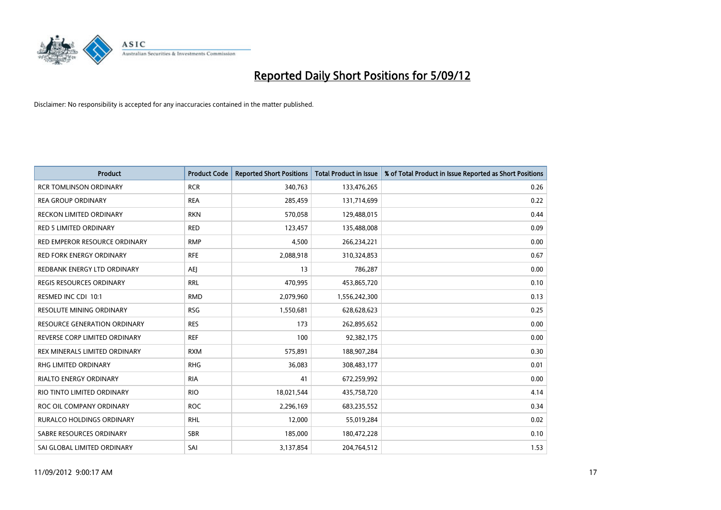

| <b>Product</b>                  | <b>Product Code</b> | <b>Reported Short Positions</b> | <b>Total Product in Issue</b> | % of Total Product in Issue Reported as Short Positions |
|---------------------------------|---------------------|---------------------------------|-------------------------------|---------------------------------------------------------|
| <b>RCR TOMLINSON ORDINARY</b>   | <b>RCR</b>          | 340,763                         | 133,476,265                   | 0.26                                                    |
| <b>REA GROUP ORDINARY</b>       | <b>REA</b>          | 285,459                         | 131,714,699                   | 0.22                                                    |
| <b>RECKON LIMITED ORDINARY</b>  | <b>RKN</b>          | 570,058                         | 129,488,015                   | 0.44                                                    |
| RED 5 LIMITED ORDINARY          | <b>RED</b>          | 123,457                         | 135,488,008                   | 0.09                                                    |
| RED EMPEROR RESOURCE ORDINARY   | <b>RMP</b>          | 4,500                           | 266,234,221                   | 0.00                                                    |
| <b>RED FORK ENERGY ORDINARY</b> | <b>RFE</b>          | 2,088,918                       | 310,324,853                   | 0.67                                                    |
| REDBANK ENERGY LTD ORDINARY     | AEJ                 | 13                              | 786,287                       | 0.00                                                    |
| REGIS RESOURCES ORDINARY        | <b>RRL</b>          | 470,995                         | 453,865,720                   | 0.10                                                    |
| RESMED INC CDI 10:1             | <b>RMD</b>          | 2,079,960                       | 1,556,242,300                 | 0.13                                                    |
| <b>RESOLUTE MINING ORDINARY</b> | <b>RSG</b>          | 1,550,681                       | 628,628,623                   | 0.25                                                    |
| RESOURCE GENERATION ORDINARY    | <b>RES</b>          | 173                             | 262,895,652                   | 0.00                                                    |
| REVERSE CORP LIMITED ORDINARY   | <b>REF</b>          | 100                             | 92,382,175                    | 0.00                                                    |
| REX MINERALS LIMITED ORDINARY   | <b>RXM</b>          | 575,891                         | 188,907,284                   | 0.30                                                    |
| <b>RHG LIMITED ORDINARY</b>     | <b>RHG</b>          | 36,083                          | 308,483,177                   | 0.01                                                    |
| <b>RIALTO ENERGY ORDINARY</b>   | <b>RIA</b>          | 41                              | 672,259,992                   | 0.00                                                    |
| RIO TINTO LIMITED ORDINARY      | <b>RIO</b>          | 18,021,544                      | 435,758,720                   | 4.14                                                    |
| ROC OIL COMPANY ORDINARY        | <b>ROC</b>          | 2,296,169                       | 683,235,552                   | 0.34                                                    |
| RURALCO HOLDINGS ORDINARY       | <b>RHL</b>          | 12,000                          | 55,019,284                    | 0.02                                                    |
| SABRE RESOURCES ORDINARY        | <b>SBR</b>          | 185,000                         | 180,472,228                   | 0.10                                                    |
| SAI GLOBAL LIMITED ORDINARY     | SAI                 | 3,137,854                       | 204,764,512                   | 1.53                                                    |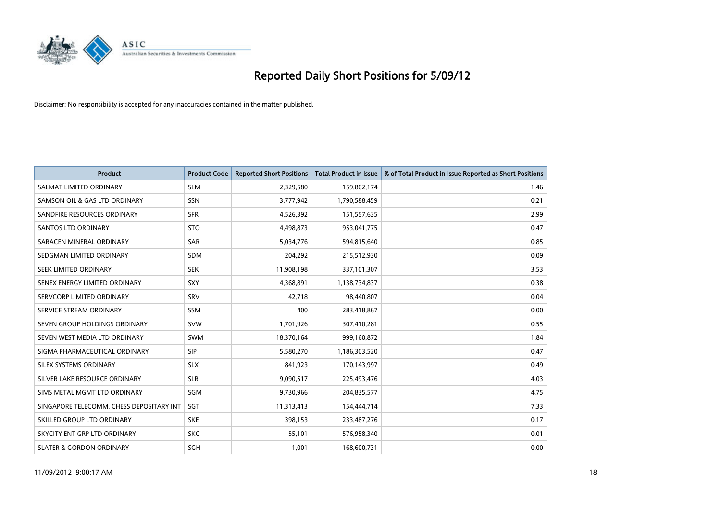

| <b>Product</b>                           | <b>Product Code</b> | <b>Reported Short Positions</b> | <b>Total Product in Issue</b> | % of Total Product in Issue Reported as Short Positions |
|------------------------------------------|---------------------|---------------------------------|-------------------------------|---------------------------------------------------------|
| SALMAT LIMITED ORDINARY                  | <b>SLM</b>          | 2,329,580                       | 159,802,174                   | 1.46                                                    |
| SAMSON OIL & GAS LTD ORDINARY            | SSN                 | 3,777,942                       | 1,790,588,459                 | 0.21                                                    |
| SANDFIRE RESOURCES ORDINARY              | <b>SFR</b>          | 4,526,392                       | 151,557,635                   | 2.99                                                    |
| <b>SANTOS LTD ORDINARY</b>               | <b>STO</b>          | 4,498,873                       | 953,041,775                   | 0.47                                                    |
| SARACEN MINERAL ORDINARY                 | <b>SAR</b>          | 5,034,776                       | 594,815,640                   | 0.85                                                    |
| SEDGMAN LIMITED ORDINARY                 | <b>SDM</b>          | 204,292                         | 215,512,930                   | 0.09                                                    |
| SEEK LIMITED ORDINARY                    | <b>SEK</b>          | 11,908,198                      | 337,101,307                   | 3.53                                                    |
| SENEX ENERGY LIMITED ORDINARY            | <b>SXY</b>          | 4,368,891                       | 1,138,734,837                 | 0.38                                                    |
| SERVCORP LIMITED ORDINARY                | SRV                 | 42,718                          | 98,440,807                    | 0.04                                                    |
| SERVICE STREAM ORDINARY                  | <b>SSM</b>          | 400                             | 283,418,867                   | 0.00                                                    |
| SEVEN GROUP HOLDINGS ORDINARY            | <b>SVW</b>          | 1,701,926                       | 307,410,281                   | 0.55                                                    |
| SEVEN WEST MEDIA LTD ORDINARY            | <b>SWM</b>          | 18,370,164                      | 999,160,872                   | 1.84                                                    |
| SIGMA PHARMACEUTICAL ORDINARY            | <b>SIP</b>          | 5,580,270                       | 1,186,303,520                 | 0.47                                                    |
| SILEX SYSTEMS ORDINARY                   | <b>SLX</b>          | 841,923                         | 170,143,997                   | 0.49                                                    |
| SILVER LAKE RESOURCE ORDINARY            | <b>SLR</b>          | 9,090,517                       | 225,493,476                   | 4.03                                                    |
| SIMS METAL MGMT LTD ORDINARY             | SGM                 | 9,730,966                       | 204,835,577                   | 4.75                                                    |
| SINGAPORE TELECOMM. CHESS DEPOSITARY INT | <b>SGT</b>          | 11,313,413                      | 154,444,714                   | 7.33                                                    |
| SKILLED GROUP LTD ORDINARY               | <b>SKE</b>          | 398,153                         | 233,487,276                   | 0.17                                                    |
| SKYCITY ENT GRP LTD ORDINARY             | <b>SKC</b>          | 55,101                          | 576,958,340                   | 0.01                                                    |
| <b>SLATER &amp; GORDON ORDINARY</b>      | <b>SGH</b>          | 1,001                           | 168,600,731                   | 0.00                                                    |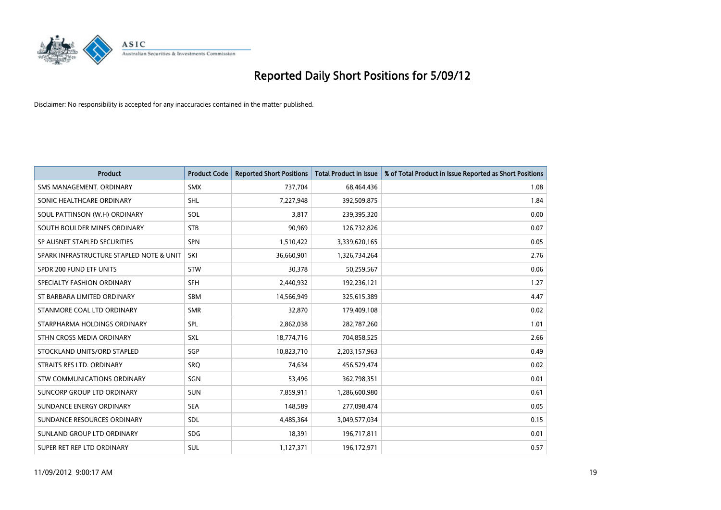

| <b>Product</b>                           | <b>Product Code</b> | <b>Reported Short Positions</b> | <b>Total Product in Issue</b> | % of Total Product in Issue Reported as Short Positions |
|------------------------------------------|---------------------|---------------------------------|-------------------------------|---------------------------------------------------------|
| SMS MANAGEMENT, ORDINARY                 | <b>SMX</b>          | 737,704                         | 68,464,436                    | 1.08                                                    |
| SONIC HEALTHCARE ORDINARY                | <b>SHL</b>          | 7,227,948                       | 392,509,875                   | 1.84                                                    |
| SOUL PATTINSON (W.H) ORDINARY            | SOL                 | 3.817                           | 239,395,320                   | 0.00                                                    |
| SOUTH BOULDER MINES ORDINARY             | <b>STB</b>          | 90,969                          | 126,732,826                   | 0.07                                                    |
| SP AUSNET STAPLED SECURITIES             | <b>SPN</b>          | 1,510,422                       | 3,339,620,165                 | 0.05                                                    |
| SPARK INFRASTRUCTURE STAPLED NOTE & UNIT | SKI                 | 36,660,901                      | 1,326,734,264                 | 2.76                                                    |
| SPDR 200 FUND ETF UNITS                  | <b>STW</b>          | 30,378                          | 50,259,567                    | 0.06                                                    |
| SPECIALTY FASHION ORDINARY               | <b>SFH</b>          | 2,440,932                       | 192,236,121                   | 1.27                                                    |
| ST BARBARA LIMITED ORDINARY              | <b>SBM</b>          | 14,566,949                      | 325,615,389                   | 4.47                                                    |
| STANMORE COAL LTD ORDINARY               | <b>SMR</b>          | 32,870                          | 179,409,108                   | 0.02                                                    |
| STARPHARMA HOLDINGS ORDINARY             | SPL                 | 2,862,038                       | 282,787,260                   | 1.01                                                    |
| STHN CROSS MEDIA ORDINARY                | <b>SXL</b>          | 18,774,716                      | 704,858,525                   | 2.66                                                    |
| STOCKLAND UNITS/ORD STAPLED              | SGP                 | 10,823,710                      | 2,203,157,963                 | 0.49                                                    |
| STRAITS RES LTD. ORDINARY                | SRO                 | 74,634                          | 456,529,474                   | 0.02                                                    |
| <b>STW COMMUNICATIONS ORDINARY</b>       | SGN                 | 53,496                          | 362,798,351                   | 0.01                                                    |
| SUNCORP GROUP LTD ORDINARY               | <b>SUN</b>          | 7,859,911                       | 1,286,600,980                 | 0.61                                                    |
| SUNDANCE ENERGY ORDINARY                 | <b>SEA</b>          | 148,589                         | 277,098,474                   | 0.05                                                    |
| SUNDANCE RESOURCES ORDINARY              | <b>SDL</b>          | 4,485,364                       | 3,049,577,034                 | 0.15                                                    |
| SUNLAND GROUP LTD ORDINARY               | <b>SDG</b>          | 18,391                          | 196,717,811                   | 0.01                                                    |
| SUPER RET REP LTD ORDINARY               | <b>SUL</b>          | 1,127,371                       | 196,172,971                   | 0.57                                                    |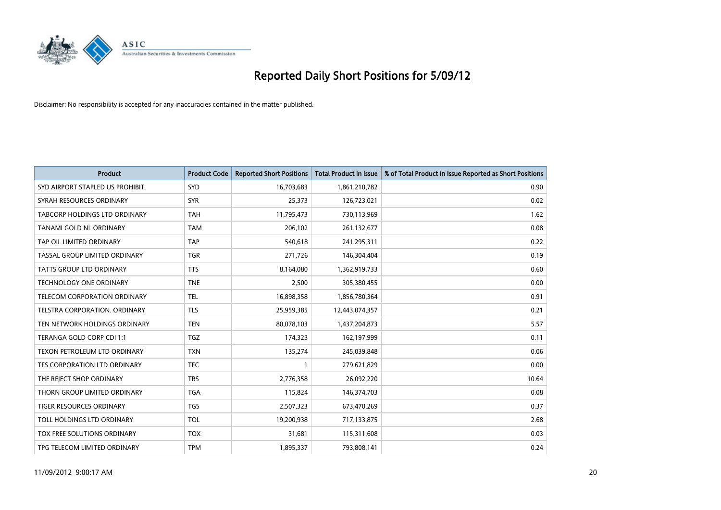

| <b>Product</b>                       | <b>Product Code</b> | <b>Reported Short Positions</b> | <b>Total Product in Issue</b> | % of Total Product in Issue Reported as Short Positions |
|--------------------------------------|---------------------|---------------------------------|-------------------------------|---------------------------------------------------------|
| SYD AIRPORT STAPLED US PROHIBIT.     | <b>SYD</b>          | 16,703,683                      | 1,861,210,782                 | 0.90                                                    |
| SYRAH RESOURCES ORDINARY             | <b>SYR</b>          | 25,373                          | 126,723,021                   | 0.02                                                    |
| TABCORP HOLDINGS LTD ORDINARY        | <b>TAH</b>          | 11,795,473                      | 730,113,969                   | 1.62                                                    |
| TANAMI GOLD NL ORDINARY              | <b>TAM</b>          | 206,102                         | 261,132,677                   | 0.08                                                    |
| TAP OIL LIMITED ORDINARY             | <b>TAP</b>          | 540,618                         | 241,295,311                   | 0.22                                                    |
| TASSAL GROUP LIMITED ORDINARY        | <b>TGR</b>          | 271,726                         | 146,304,404                   | 0.19                                                    |
| TATTS GROUP LTD ORDINARY             | <b>TTS</b>          | 8,164,080                       | 1,362,919,733                 | 0.60                                                    |
| TECHNOLOGY ONE ORDINARY              | <b>TNE</b>          | 2,500                           | 305,380,455                   | 0.00                                                    |
| TELECOM CORPORATION ORDINARY         | <b>TEL</b>          | 16,898,358                      | 1,856,780,364                 | 0.91                                                    |
| <b>TELSTRA CORPORATION, ORDINARY</b> | <b>TLS</b>          | 25,959,385                      | 12,443,074,357                | 0.21                                                    |
| TEN NETWORK HOLDINGS ORDINARY        | <b>TEN</b>          | 80,078,103                      | 1,437,204,873                 | 5.57                                                    |
| TERANGA GOLD CORP CDI 1:1            | <b>TGZ</b>          | 174,323                         | 162,197,999                   | 0.11                                                    |
| TEXON PETROLEUM LTD ORDINARY         | <b>TXN</b>          | 135,274                         | 245,039,848                   | 0.06                                                    |
| TFS CORPORATION LTD ORDINARY         | <b>TFC</b>          |                                 | 279,621,829                   | 0.00                                                    |
| THE REJECT SHOP ORDINARY             | <b>TRS</b>          | 2,776,358                       | 26,092,220                    | 10.64                                                   |
| THORN GROUP LIMITED ORDINARY         | <b>TGA</b>          | 115,824                         | 146,374,703                   | 0.08                                                    |
| TIGER RESOURCES ORDINARY             | <b>TGS</b>          | 2,507,323                       | 673,470,269                   | 0.37                                                    |
| TOLL HOLDINGS LTD ORDINARY           | <b>TOL</b>          | 19,200,938                      | 717,133,875                   | 2.68                                                    |
| TOX FREE SOLUTIONS ORDINARY          | <b>TOX</b>          | 31,681                          | 115,311,608                   | 0.03                                                    |
| TPG TELECOM LIMITED ORDINARY         | <b>TPM</b>          | 1,895,337                       | 793,808,141                   | 0.24                                                    |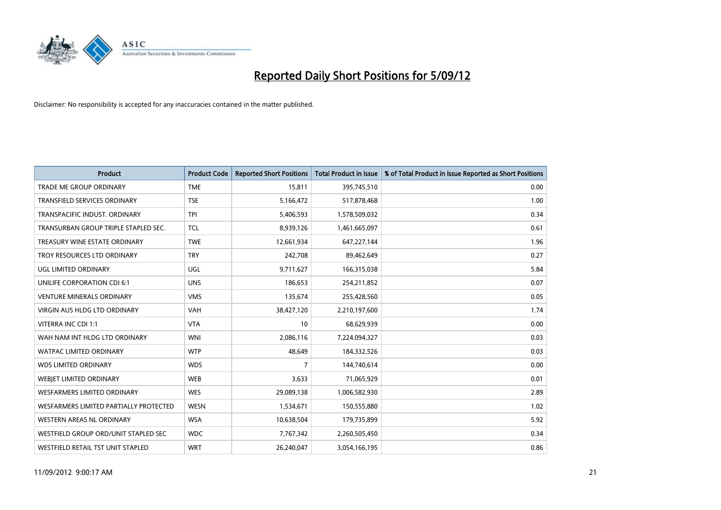

| <b>Product</b>                         | <b>Product Code</b> | <b>Reported Short Positions</b> | <b>Total Product in Issue</b> | % of Total Product in Issue Reported as Short Positions |
|----------------------------------------|---------------------|---------------------------------|-------------------------------|---------------------------------------------------------|
| <b>TRADE ME GROUP ORDINARY</b>         | <b>TME</b>          | 15,811                          | 395,745,510                   | 0.00                                                    |
| TRANSFIELD SERVICES ORDINARY           | <b>TSE</b>          | 5,166,472                       | 517,878,468                   | 1.00                                                    |
| TRANSPACIFIC INDUST, ORDINARY          | <b>TPI</b>          | 5,406,593                       | 1,578,509,032                 | 0.34                                                    |
| TRANSURBAN GROUP TRIPLE STAPLED SEC.   | <b>TCL</b>          | 8,939,126                       | 1,461,665,097                 | 0.61                                                    |
| TREASURY WINE ESTATE ORDINARY          | <b>TWE</b>          | 12,661,934                      | 647,227,144                   | 1.96                                                    |
| TROY RESOURCES LTD ORDINARY            | <b>TRY</b>          | 242,708                         | 89,462,649                    | 0.27                                                    |
| UGL LIMITED ORDINARY                   | UGL                 | 9,711,627                       | 166,315,038                   | 5.84                                                    |
| UNILIFE CORPORATION CDI 6:1            | <b>UNS</b>          | 186,653                         | 254,211,852                   | 0.07                                                    |
| <b>VENTURE MINERALS ORDINARY</b>       | <b>VMS</b>          | 135,674                         | 255,428,560                   | 0.05                                                    |
| <b>VIRGIN AUS HLDG LTD ORDINARY</b>    | <b>VAH</b>          | 38,427,120                      | 2,210,197,600                 | 1.74                                                    |
| VITERRA INC CDI 1:1                    | <b>VTA</b>          | 10                              | 68,629,939                    | 0.00                                                    |
| WAH NAM INT HLDG LTD ORDINARY          | <b>WNI</b>          | 2,086,116                       | 7,224,094,327                 | 0.03                                                    |
| WATPAC LIMITED ORDINARY                | <b>WTP</b>          | 48,649                          | 184,332,526                   | 0.03                                                    |
| <b>WDS LIMITED ORDINARY</b>            | <b>WDS</b>          | 7                               | 144,740,614                   | 0.00                                                    |
| WEBIET LIMITED ORDINARY                | <b>WEB</b>          | 3,633                           | 71,065,929                    | 0.01                                                    |
| WESFARMERS LIMITED ORDINARY            | <b>WES</b>          | 29,089,138                      | 1,006,582,930                 | 2.89                                                    |
| WESFARMERS LIMITED PARTIALLY PROTECTED | <b>WESN</b>         | 1,534,671                       | 150,555,880                   | 1.02                                                    |
| WESTERN AREAS NL ORDINARY              | <b>WSA</b>          | 10,638,504                      | 179,735,899                   | 5.92                                                    |
| WESTFIELD GROUP ORD/UNIT STAPLED SEC   | <b>WDC</b>          | 7,767,342                       | 2,260,505,450                 | 0.34                                                    |
| WESTFIELD RETAIL TST UNIT STAPLED      | <b>WRT</b>          | 26,240,047                      | 3,054,166,195                 | 0.86                                                    |